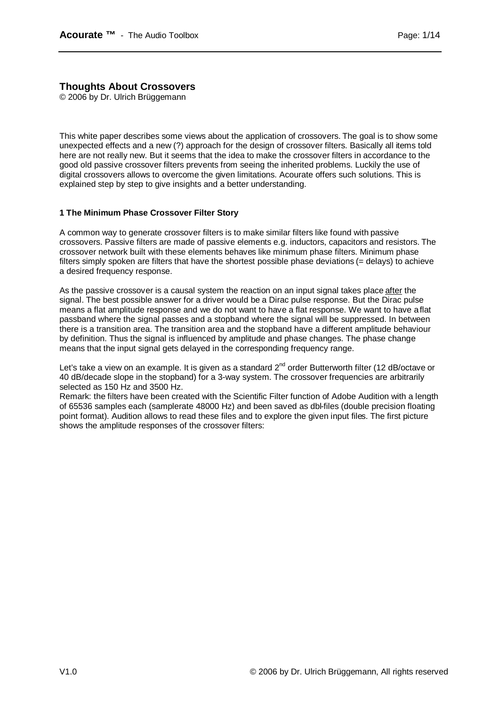# **Thoughts About Crossovers**

© 2006 by Dr. Ulrich Brüggemann

This white paper describes some views about the application of crossovers. The goal is to show some unexpected effects and a new (?) approach for the design of crossover filters. Basically all items told here are not really new. But it seems that the idea to make the crossover filters in accordance to the good old passive crossover filters prevents from seeing the inherited problems. Luckily the use of digital crossovers allows to overcome the given limitations. Acourate offers such solutions. This is explained step by step to give insights and a better understanding.

## **1 The Minimum Phase Crossover Filter Story**

A common way to generate crossover filters is to make similar filters like found with passive crossovers. Passive filters are made of passive elements e.g. inductors, capacitors and resistors. The crossover network built with these elements behaves like minimum phase filters. Minimum phase filters simply spoken are filters that have the shortest possible phase deviations (= delays) to achieve a desired frequency response.

As the passive crossover is a causal system the reaction on an input signal takes place after the signal. The best possible answer for a driver would be a Dirac pulse response. But the Dirac pulse means a flat amplitude response and we do not want to have a flat response. We want to have a flat passband where the signal passes and a stopband where the signal will be suppressed. In between there is a transition area. The transition area and the stopband have a different amplitude behaviour by definition. Thus the signal is influenced by amplitude and phase changes. The phase change means that the input signal gets delayed in the corresponding frequency range.

Let's take a view on an example. It is given as a standard 2<sup>nd</sup> order Butterworth filter (12 dB/octave or 40 dB/decade slope in the stopband) for a 3-way system. The crossover frequencies are arbitrarily selected as 150 Hz and 3500 Hz.

Remark: the filters have been created with the Scientific Filter function of Adobe Audition with a length of 65536 samples each (samplerate 48000 Hz) and been saved as dbl-files (double precision floating point format). Audition allows to read these files and to explore the given input files. The first picture shows the amplitude responses of the crossover filters: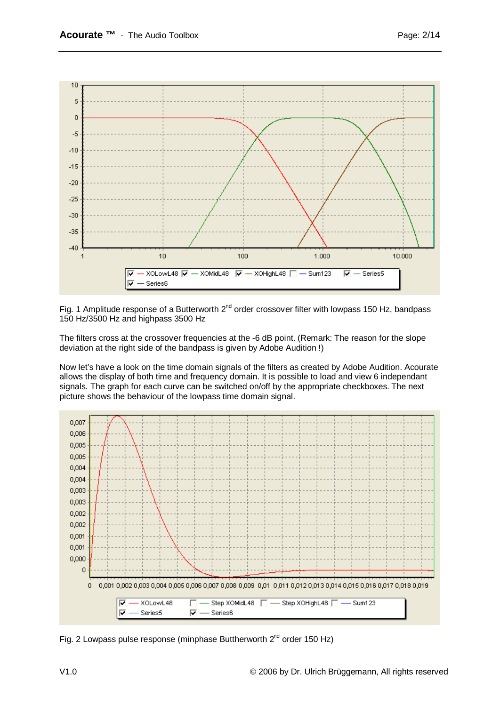

Fig. 1 Amplitude response of a Butterworth  $2^{nd}$  order crossover filter with lowpass 150 Hz, bandpass 150 Hz/3500 Hz and highpass 3500 Hz

The filters cross at the crossover frequencies at the -6 dB point. (Remark: The reason for the slope deviation at the right side of the bandpass is given by Adobe Audition !)

Now let's have a look on the time domain signals of the filters as created by Adobe Audition. Acourate allows the display of both time and frequency domain. It is possible to load and view 6 independant signals. The graph for each curve can be switched on/off by the appropriate checkboxes. The next picture shows the behaviour of the lowpass time domain signal.



Fig. 2 Lowpass pulse response (minphase Buttherworth  $2<sup>nd</sup>$  order 150 Hz)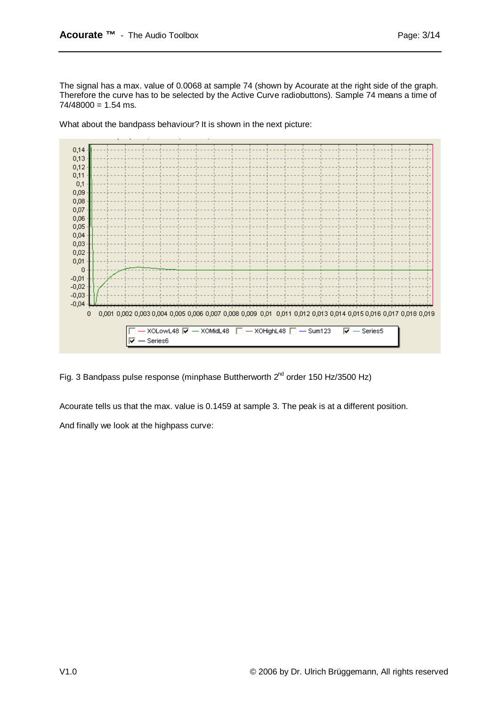The signal has a max. value of 0.0068 at sample 74 (shown by Acourate at the right side of the graph. Therefore the curve has to be selected by the Active Curve radiobuttons). Sample 74 means a time of  $74/48000 = 1.54$  ms.

What about the bandpass behaviour? It is shown in the next picture:



Fig. 3 Bandpass pulse response (minphase Buttherworth  $2^{nd}$  order 150 Hz/3500 Hz)

Acourate tells us that the max. value is 0.1459 at sample 3. The peak is at a different position.

And finally we look at the highpass curve: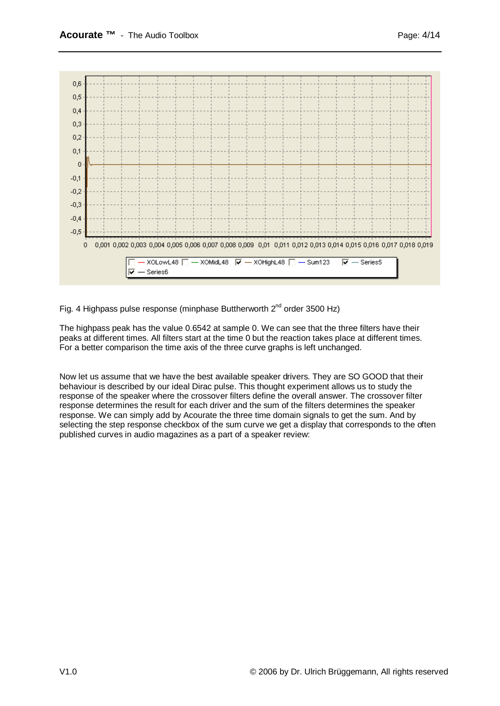

Fig. 4 Highpass pulse response (minphase Buttherworth  $2^{nd}$  order 3500 Hz)

The highpass peak has the value 0.6542 at sample 0. We can see that the three filters have their peaks at different times. All filters start at the time 0 but the reaction takes place at different times. For a better comparison the time axis of the three curve graphs is left unchanged.

Now let us assume that we have the best available speaker drivers. They are SO GOOD that their behaviour is described by our ideal Dirac pulse. This thought experiment allows us to study the response of the speaker where the crossover filters define the overall answer. The crossover filter response determines the result for each driver and the sum of the filters determines the speaker response. We can simply add by Acourate the three time domain signals to get the sum. And by selecting the step response checkbox of the sum curve we get a display that corresponds to the often published curves in audio magazines as a part of a speaker review: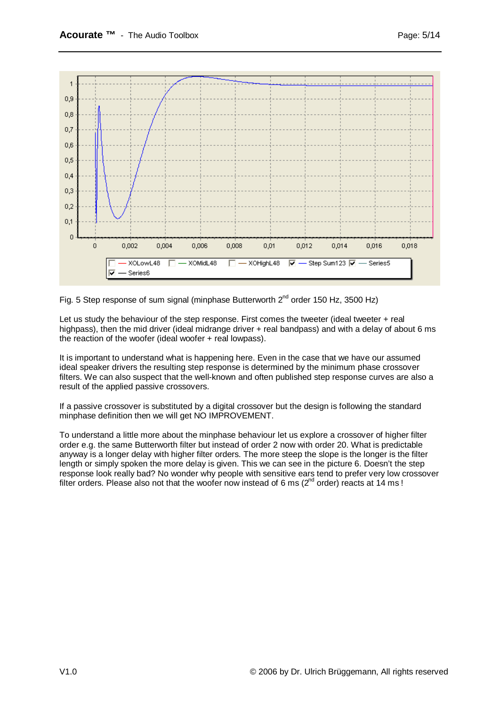



Let us study the behaviour of the step response. First comes the tweeter (ideal tweeter + real highpass), then the mid driver (ideal midrange driver + real bandpass) and with a delay of about 6 ms the reaction of the woofer (ideal woofer + real lowpass).

It is important to understand what is happening here. Even in the case that we have our assumed ideal speaker drivers the resulting step response is determined by the minimum phase crossover filters. We can also suspect that the well-known and often published step response curves are also a result of the applied passive crossovers.

If a passive crossover is substituted by a digital crossover but the design is following the standard minphase definition then we will get NO IMPROVEMENT.

To understand a little more about the minphase behaviour let us explore a crossover of higher filter order e.g. the same Butterworth filter but instead of order 2 now with order 20. What is predictable anyway is a longer delay with higher filter orders. The more steep the slope is the longer is the filter length or simply spoken the more delay is given. This we can see in the picture 6. Doesn't the step response look really bad? No wonder why people with sensitive ears tend to prefer very low crossover filter orders. Please also not that the woofer now instead of 6 ms ( $2^{nd}$  order) reacts at 14 ms !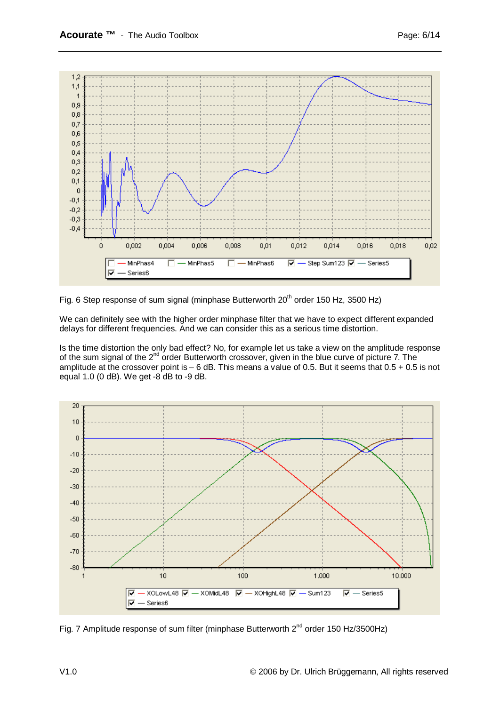

Fig. 6 Step response of sum signal (minphase Butterworth  $20<sup>th</sup>$  order 150 Hz, 3500 Hz)

We can definitely see with the higher order minphase filter that we have to expect different expanded delays for different frequencies. And we can consider this as a serious time distortion.

Is the time distortion the only bad effect? No, for example let us take a view on the amplitude response of the sum signal of the 2<sup>nd</sup> order Butterworth crossover, given in the blue curve of picture 7. The amplitude at the crossover point is  $-6$  dB. This means a value of 0.5. But it seems that  $0.5 + 0.5$  is not equal 1.0 (0 dB). We get -8 dB to -9 dB.



Fig. 7 Amplitude response of sum filter (minphase Butterworth  $2^{nd}$  order 150 Hz/3500Hz)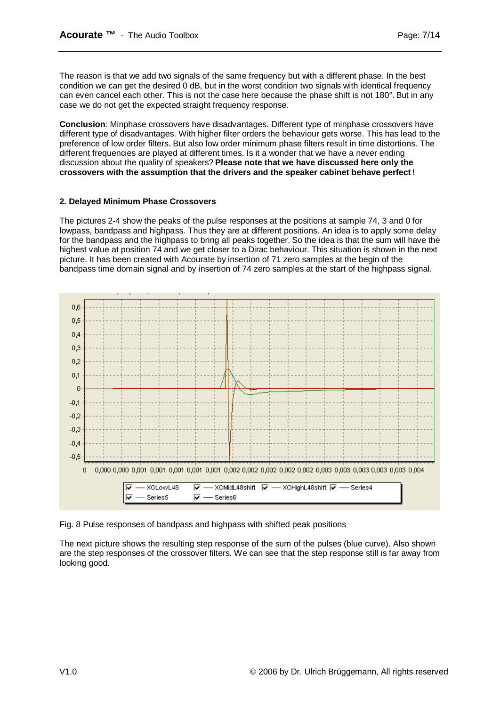The reason is that we add two signals of the same frequency but with a different phase. In the best condition we can get the desired 0 dB, but in the worst condition two signals with identical frequency can even cancel each other. This is not the case here because the phase shift is not 180°. But in any case we do not get the expected straight frequency response.

**Conclusion**: Minphase crossovers have disadvantages. Different type of minphase crossovers have different type of disadvantages. With higher filter orders the behaviour gets worse. This has lead to the preference of low order filters. But also low order minimum phase filters result in time distortions. The different frequencies are played at different times. Is it a wonder that we have a never ending discussion about the quality of speakers? **Please note that we have discussed here only the crossovers with the assumption that the drivers and the speaker cabinet behave perfect** !

#### **2. Delayed Minimum Phase Crossovers**

The pictures 2-4 show the peaks of the pulse responses at the positions at sample 74, 3 and 0 for lowpass, bandpass and highpass. Thus they are at different positions. An idea is to apply some delay for the bandpass and the highpass to bring all peaks together. So the idea is that the sum will have the highest value at position 74 and we get closer to a Dirac behaviour. This situation is shown in the next picture. It has been created with Acourate by insertion of 71 zero samples at the begin of the bandpass time domain signal and by insertion of 74 zero samples at the start of the highpass signal.



Fig. 8 Pulse responses of bandpass and highpass with shifted peak positions

The next picture shows the resulting step response of the sum of the pulses (blue curve). Also shown are the step responses of the crossover filters. We can see that the step response still is far away from looking good.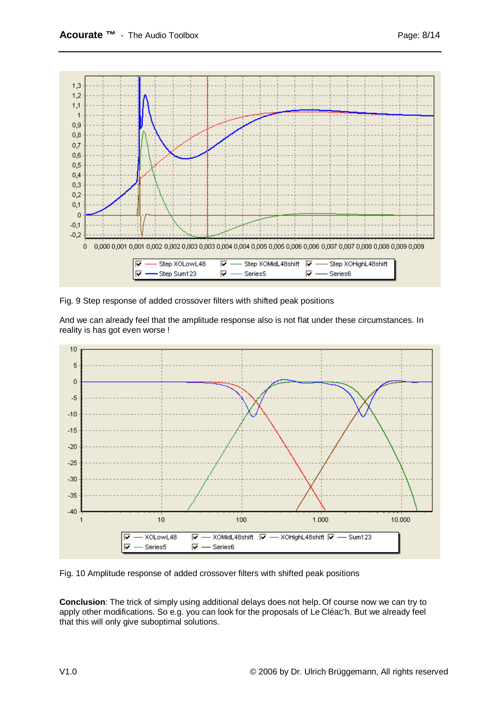

Fig. 9 Step response of added crossover filters with shifted peak positions

And we can already feel that the amplitude response also is not flat under these circumstances. In reality is has got even worse !



Fig. 10 Amplitude response of added crossover filters with shifted peak positions

**Conclusion**: The trick of simply using additional delays does not help. Of course now we can try to apply other modifications. So e.g. you can look for the proposals of Le Cléac'h. But we already feel that this will only give suboptimal solutions.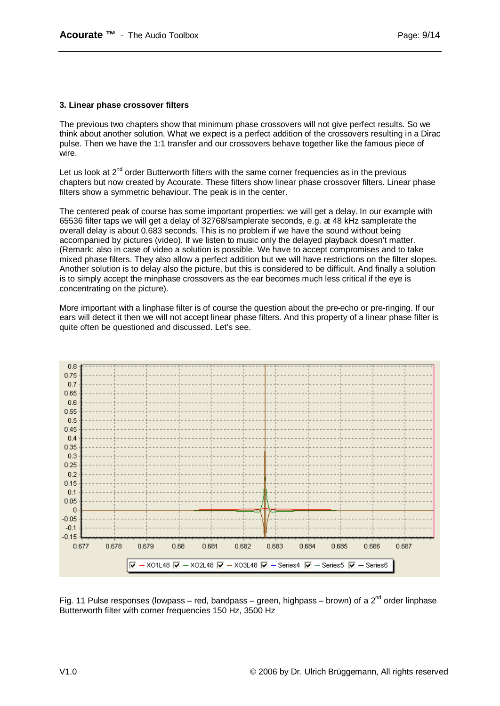#### **3. Linear phase crossover filters**

The previous two chapters show that minimum phase crossovers will not give perfect results. So we think about another solution. What we expect is a perfect addition of the crossovers resulting in a Dirac pulse. Then we have the 1:1 transfer and our crossovers behave together like the famous piece of wire.

Let us look at  $2<sup>nd</sup>$  order Butterworth filters with the same corner frequencies as in the previous chapters but now created by Acourate. These filters show linear phase crossover filters. Linear phase filters show a symmetric behaviour. The peak is in the center.

The centered peak of course has some important properties: we will get a delay. In our example with 65536 filter taps we will get a delay of 32768/samplerate seconds, e.g. at 48 kHz samplerate the overall delay is about 0.683 seconds. This is no problem if we have the sound without being accompanied by pictures (video). If we listen to music only the delayed playback doesn't matter. (Remark: also in case of video a solution is possible. We have to accept compromises and to take mixed phase filters. They also allow a perfect addition but we will have restrictions on the filter slopes. Another solution is to delay also the picture, but this is considered to be difficult. And finally a solution is to simply accept the minphase crossovers as the ear becomes much less critical if the eye is concentrating on the picture).

More important with a linphase filter is of course the question about the pre-echo or pre-ringing. If our ears will detect it then we will not accept linear phase filters. And this property of a linear phase filter is quite often be questioned and discussed. Let's see.



Fig. 11 Pulse responses (lowpass – red, bandpass – green, highpass – brown) of a  $2^{nd}$  order linphase Butterworth filter with corner frequencies 150 Hz, 3500 Hz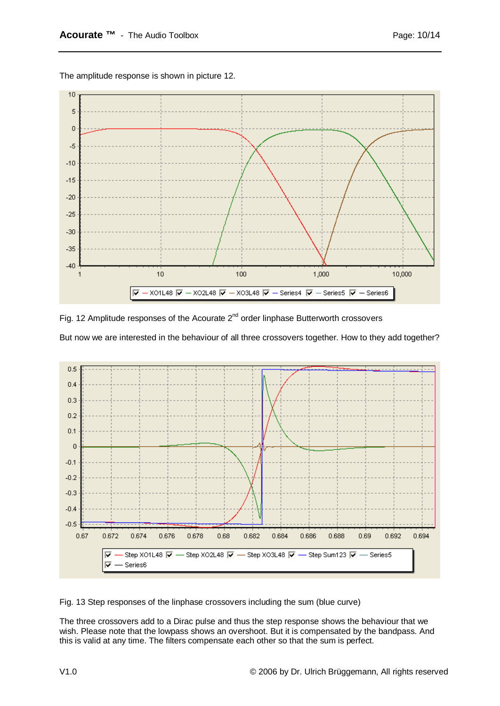



Fig. 12 Amplitude responses of the Acourate  $2^{nd}$  order linphase Butterworth crossovers But now we are interested in the behaviour of all three crossovers together. How to they add together?



Fig. 13 Step responses of the linphase crossovers including the sum (blue curve)

The three crossovers add to a Dirac pulse and thus the step response shows the behaviour that we wish. Please note that the lowpass shows an overshoot. But it is compensated by the bandpass. And this is valid at any time. The filters compensate each other so that the sum is perfect.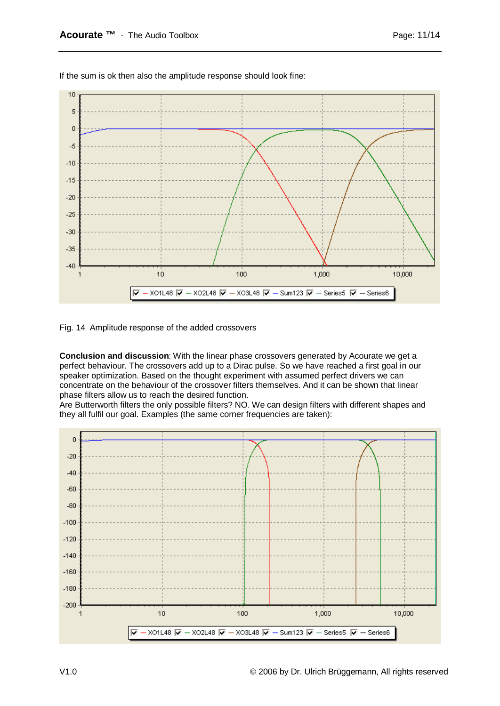

If the sum is ok then also the amplitude response should look fine:

Fig. 14 Amplitude response of the added crossovers

**Conclusion and discussion**: With the linear phase crossovers generated by Acourate we get a perfect behaviour. The crossovers add up to a Dirac pulse. So we have reached a first goal in our speaker optimization. Based on the thought experiment with assumed perfect drivers we can concentrate on the behaviour of the crossover filters themselves. And it can be shown that linear phase filters allow us to reach the desired function.

Are Butterworth filters the only possible filters? NO. We can design filters with different shapes and they all fulfil our goal. Examples (the same corner frequencies are taken):

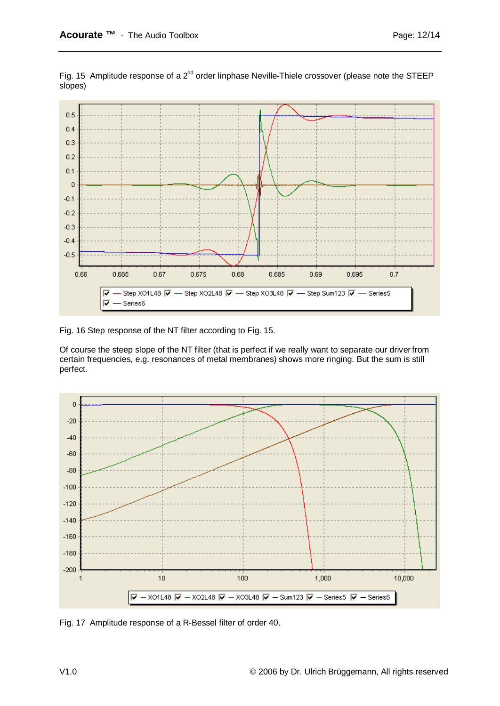

Fig. 15 Amplitude response of a  $2^{nd}$  order linphase Neville-Thiele crossover (please note the STEEP slopes)

Fig. 16 Step response of the NT filter according to Fig. 15.

Of course the steep slope of the NT filter (that is perfect if we really want to separate our driver from certain frequencies, e.g. resonances of metal membranes) shows more ringing. But the sum is still perfect.



Fig. 17 Amplitude response of a R-Bessel filter of order 40.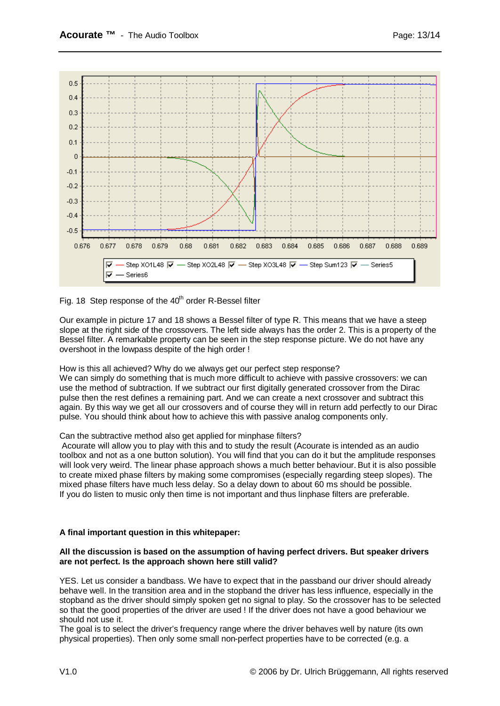

Fig. 18 Step response of the  $40<sup>th</sup>$  order R-Bessel filter

Our example in picture 17 and 18 shows a Bessel filter of type R. This means that we have a steep slope at the right side of the crossovers. The left side always has the order 2. This is a property of the Bessel filter. A remarkable property can be seen in the step response picture. We do not have any overshoot in the lowpass despite of the high order !

## How is this all achieved? Why do we always get our perfect step response?

We can simply do something that is much more difficult to achieve with passive crossovers: we can use the method of subtraction. If we subtract our first digitally generated crossover from the Dirac pulse then the rest defines a remaining part. And we can create a next crossover and subtract this again. By this way we get all our crossovers and of course they will in return add perfectly to our Dirac pulse. You should think about how to achieve this with passive analog components only.

## Can the subtractive method also get applied for minphase filters?

 Acourate will allow you to play with this and to study the result (Acourate is intended as an audio toolbox and not as a one button solution). You will find that you can do it but the amplitude responses will look very weird. The linear phase approach shows a much better behaviour. But it is also possible to create mixed phase filters by making some compromises (especially regarding steep slopes). The mixed phase filters have much less delay. So a delay down to about 60 ms should be possible. If you do listen to music only then time is not important and thus linphase filters are preferable.

## **A final important question in this whitepaper:**

#### **All the discussion is based on the assumption of having perfect drivers. But speaker drivers are not perfect. Is the approach shown here still valid?**

YES. Let us consider a bandbass. We have to expect that in the passband our driver should already behave well. In the transition area and in the stopband the driver has less influence, especially in the stopband as the driver should simply spoken get no signal to play. So the crossover has to be selected so that the good properties of the driver are used ! If the driver does not have a good behaviour we should not use it.

The goal is to select the driver's frequency range where the driver behaves well by nature (its own physical properties). Then only some small non-perfect properties have to be corrected (e.g. a